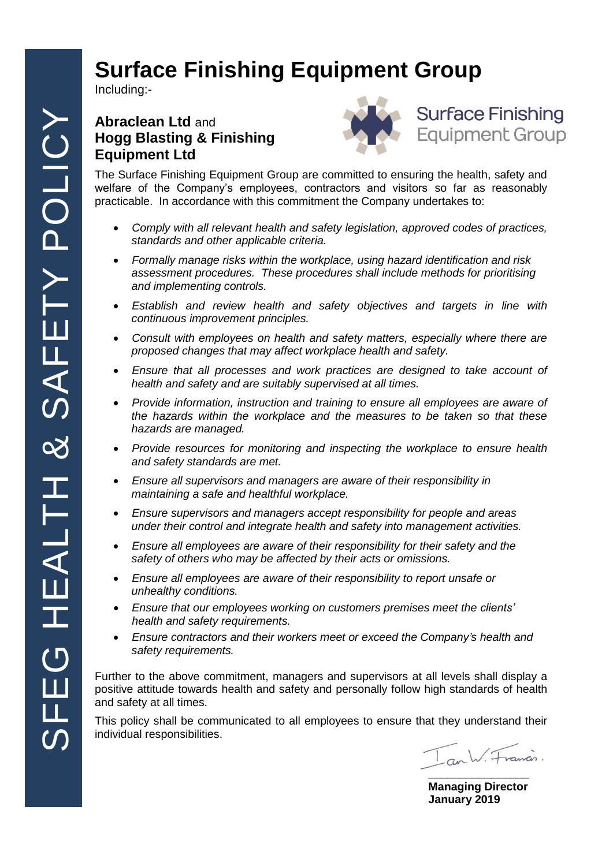# **Surface Finishing Equipment Group**

Including:-

# **Abraclean Ltd** and **Hogg Blasting & Finishing Equipment Ltd**





The Surface Finishing Equipment Group are committed to ensuring the health, safety and welfare of the Company's employees, contractors and visitors so far as reasonably practicable. In accordance with this commitment the Company undertakes to:

- *Comply with all relevant health and safety legislation, approved codes of practices, standards and other applicable criteria.*
- *Formally manage risks within the workplace, using hazard identification and risk assessment procedures. These procedures shall include methods for prioritising and implementing controls.*
- *Establish and review health and safety objectives and targets in line with continuous improvement principles.*
- *Consult with employees on health and safety matters, especially where there are proposed changes that may affect workplace health and safety.*
- *Ensure that all processes and work practices are designed to take account of health and safety and are suitably supervised at all times.*
- *Provide information, instruction and training to ensure all employees are aware of the hazards within the workplace and the measures to be taken so that these hazards are managed.*
- *Provide resources for monitoring and inspecting the workplace to ensure health and safety standards are met.*
- *Ensure all supervisors and managers are aware of their responsibility in maintaining a safe and healthful workplace.*
- *Ensure supervisors and managers accept responsibility for people and areas under their control and integrate health and safety into management activities.*
- *Ensure all employees are aware of their responsibility for their safety and the safety of others who may be affected by their acts or omissions.*
- *Ensure all employees are aware of their responsibility to report unsafe or unhealthy conditions.*
- *Ensure that our employees working on customers premises meet the clients' health and safety requirements.*
- *Ensure contractors and their workers meet or exceed the Company's health and safety requirements.*

Further to the above commitment, managers and supervisors at all levels shall display a positive attitude towards health and safety and personally follow high standards of health and safety at all times.

This policy shall be communicated to all employees to ensure that they understand their individual responsibilities.

I an W. Francis. **\_\_\_\_\_\_\_\_\_\_\_\_\_\_\_\_**

**Managing Director January 2019**